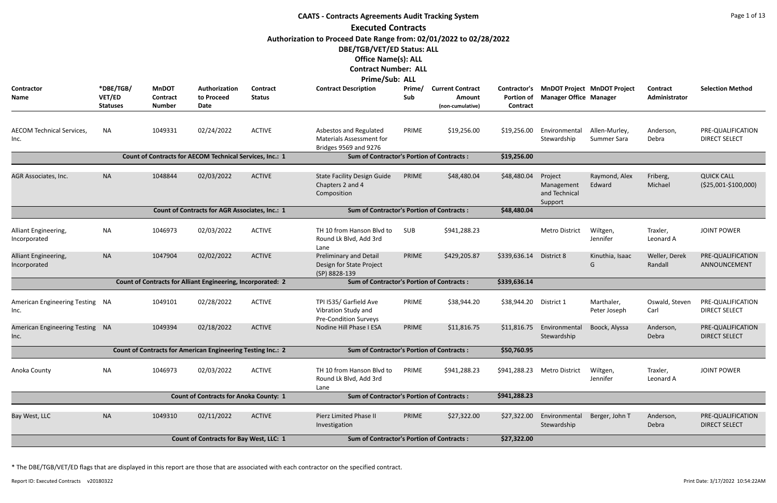|                                          | <b>CAATS - Contracts Agreements Audit Tracking System</b><br><b>Executed Contracts</b> |                                                  |                                                                    |                                  |                                                                                                                                                                                        |               |                                                       |                                               |                                                   |                                    |                                  |                                              |  |  |
|------------------------------------------|----------------------------------------------------------------------------------------|--------------------------------------------------|--------------------------------------------------------------------|----------------------------------|----------------------------------------------------------------------------------------------------------------------------------------------------------------------------------------|---------------|-------------------------------------------------------|-----------------------------------------------|---------------------------------------------------|------------------------------------|----------------------------------|----------------------------------------------|--|--|
|                                          |                                                                                        |                                                  |                                                                    |                                  |                                                                                                                                                                                        |               |                                                       |                                               |                                                   |                                    |                                  |                                              |  |  |
|                                          |                                                                                        |                                                  |                                                                    |                                  | Authorization to Proceed Date Range from: 02/01/2022 to 02/28/2022<br>DBE/TGB/VET/ED Status: ALL<br><b>Office Name(s): ALL</b><br><b>Contract Number: ALL</b><br><b>Prime/Sub: ALL</b> |               |                                                       |                                               |                                                   |                                    |                                  |                                              |  |  |
| <b>Contractor</b><br>Name                | *DBE/TGB/<br>VET/ED<br><b>Statuses</b>                                                 | <b>MnDOT</b><br><b>Contract</b><br><b>Number</b> | Authorization<br>to Proceed<br><b>Date</b>                         | <b>Contract</b><br><b>Status</b> | <b>Contract Description</b>                                                                                                                                                            | Prime/<br>Sub | <b>Current Contract</b><br>Amount<br>(non-cumulative) | Contractor's<br><b>Portion of</b><br>Contract | <b>Manager Office Manager</b>                     | <b>MnDOT Project MnDOT Project</b> | <b>Contract</b><br>Administrator | <b>Selection Method</b>                      |  |  |
| <b>AECOM Technical Services,</b><br>Inc. | <b>NA</b>                                                                              | 1049331                                          | 02/24/2022                                                         | <b>ACTIVE</b>                    | Asbestos and Regulated<br><b>Materials Assessment for</b><br>Bridges 9569 and 9276                                                                                                     | PRIME         | \$19,256.00                                           | \$19,256.00                                   | Environmental<br>Stewardship                      | Allen-Murley,<br>Summer Sara       | Anderson,<br>Debra               | PRE-QUALIFICATION<br><b>DIRECT SELECT</b>    |  |  |
|                                          |                                                                                        |                                                  | Count of Contracts for AECOM Technical Services, Inc.: 1           |                                  | <b>Sum of Contractor's Portion of Contracts:</b>                                                                                                                                       |               |                                                       | \$19,256.00                                   |                                                   |                                    |                                  |                                              |  |  |
| AGR Associates, Inc.                     | <b>NA</b>                                                                              | 1048844                                          | 02/03/2022                                                         | <b>ACTIVE</b>                    | <b>State Facility Design Guide</b><br>Chapters 2 and 4<br>Composition                                                                                                                  | PRIME         | \$48,480.04                                           | \$48,480.04                                   | Project<br>Management<br>and Technical<br>Support | Raymond, Alex<br>Edward            | Friberg,<br>Michael              | <b>QUICK CALL</b><br>$( $25,001 - $100,000)$ |  |  |
|                                          |                                                                                        |                                                  | Count of Contracts for AGR Associates, Inc.: 1                     |                                  | <b>Sum of Contractor's Portion of Contracts:</b>                                                                                                                                       |               |                                                       | \$48,480.04                                   |                                                   |                                    |                                  |                                              |  |  |
| Alliant Engineering,<br>Incorporated     | <b>NA</b>                                                                              | 1046973                                          | 02/03/2022                                                         | <b>ACTIVE</b>                    | TH 10 from Hanson Blvd to<br>Round Lk Blvd, Add 3rd<br>Lane                                                                                                                            | <b>SUB</b>    | \$941,288.23                                          |                                               | Metro District                                    | Wiltgen,<br>Jennifer               | Traxler,<br>Leonard A            | <b>JOINT POWER</b>                           |  |  |
| Alliant Engineering,<br>Incorporated     | <b>NA</b>                                                                              | 1047904                                          | 02/02/2022                                                         | <b>ACTIVE</b>                    | Preliminary and Detail<br>Design for State Project<br>(SP) 8828-139                                                                                                                    | PRIME         | \$429,205.87                                          | \$339,636.14                                  | District 8                                        | Kinuthia, Isaac<br>G               | Weller, Derek<br>Randall         | PRE-QUALIFICATION<br>ANNOUNCEMENT            |  |  |
|                                          |                                                                                        |                                                  | <b>Count of Contracts for Alliant Engineering, Incorporated: 2</b> |                                  | <b>Sum of Contractor's Portion of Contracts:</b>                                                                                                                                       |               |                                                       | \$339,636.14                                  |                                                   |                                    |                                  |                                              |  |  |
| American Engineering Testing NA<br>Inc.  |                                                                                        | 1049101                                          | 02/28/2022                                                         | <b>ACTIVE</b>                    | TPI I535/ Garfield Ave<br>Vibration Study and<br><b>Pre-Condition Surveys</b>                                                                                                          | PRIME         | \$38,944.20                                           | \$38,944.20                                   | District 1                                        | Marthaler,<br>Peter Joseph         | Oswald, Steven<br>Carl           | PRE-QUALIFICATION<br><b>DIRECT SELECT</b>    |  |  |
| American Engineering Testing NA<br>Inc.  |                                                                                        | 1049394                                          | 02/18/2022                                                         | <b>ACTIVE</b>                    | Nodine Hill Phase I ESA                                                                                                                                                                | PRIME         | \$11,816.75                                           | \$11,816.75                                   | Environmental<br>Stewardship                      | Boock, Alyssa                      | Anderson,<br>Debra               | PRE-QUALIFICATION<br><b>DIRECT SELECT</b>    |  |  |
|                                          |                                                                                        |                                                  | Count of Contracts for American Engineering Testing Inc.: 2        |                                  | <b>Sum of Contractor's Portion of Contracts:</b>                                                                                                                                       |               |                                                       | \$50,760.95                                   |                                                   |                                    |                                  |                                              |  |  |
| Anoka County                             | <b>NA</b>                                                                              | 1046973                                          | 02/03/2022                                                         | <b>ACTIVE</b>                    | TH 10 from Hanson Blvd to<br>Round Lk Blvd, Add 3rd<br>Lane                                                                                                                            | PRIME         | \$941,288.23                                          | \$941,288.23                                  | <b>Metro District</b>                             | Wiltgen,<br>Jennifer               | Traxler,<br>Leonard A            | <b>JOINT POWER</b>                           |  |  |
|                                          |                                                                                        |                                                  | <b>Count of Contracts for Anoka County: 1</b>                      |                                  | <b>Sum of Contractor's Portion of Contracts:</b>                                                                                                                                       |               |                                                       | \$941,288.23                                  |                                                   |                                    |                                  |                                              |  |  |
| Bay West, LLC                            | <b>NA</b>                                                                              | 1049310                                          | 02/11/2022                                                         | <b>ACTIVE</b>                    | <b>Pierz Limited Phase II</b><br>Investigation                                                                                                                                         | PRIME         | \$27,322.00                                           | \$27,322.00                                   | Environmental<br>Stewardship                      | Berger, John T                     | Anderson,<br>Debra               | PRE-QUALIFICATION<br><b>DIRECT SELECT</b>    |  |  |
|                                          |                                                                                        |                                                  | <b>Count of Contracts for Bay West, LLC: 1</b>                     |                                  | <b>Sum of Contractor's Portion of Contracts:</b>                                                                                                                                       |               |                                                       | \$27,322.00                                   |                                                   |                                    |                                  |                                              |  |  |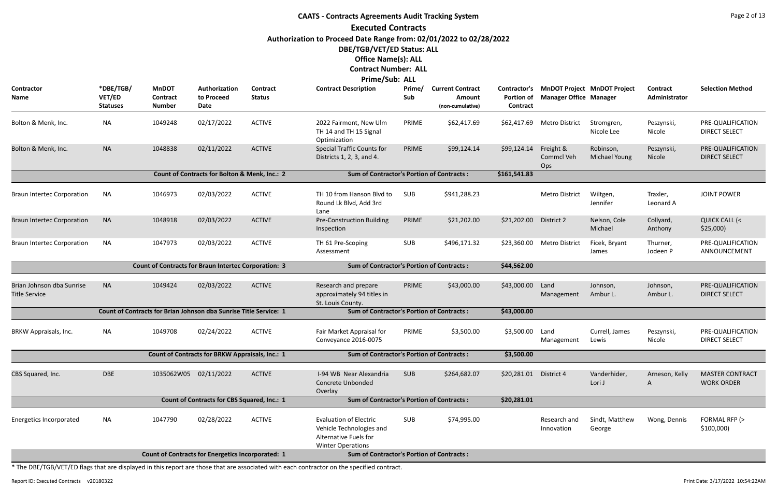## **CAATS - Contracts Agreements Audit Tracking System Executed Contracts Authorization to Proceed Date Range from: 02/01/2022 to 02/28/2022 DBE/TGB/VET/ED Status: ALL Office Name(s): ALL Contract Number: ALL**

**Prime/Sub: ALL**

|                                                             |                                        |                                                                   |                                                    |                           | THILG JUN. ALL                                                                                                 |               |                                                       |                                                      |                                       |                                    |                           |                                             |
|-------------------------------------------------------------|----------------------------------------|-------------------------------------------------------------------|----------------------------------------------------|---------------------------|----------------------------------------------------------------------------------------------------------------|---------------|-------------------------------------------------------|------------------------------------------------------|---------------------------------------|------------------------------------|---------------------------|---------------------------------------------|
| Contractor<br>Name                                          | *DBE/TGB/<br>VET/ED<br><b>Statuses</b> | <b>MnDOT</b><br><b>Contract</b><br><b>Number</b>                  | Authorization<br>to Proceed<br>Date                | Contract<br><b>Status</b> | <b>Contract Description</b>                                                                                    | Prime/<br>Sub | <b>Current Contract</b><br>Amount<br>(non-cumulative) | <b>Contractor's</b><br><b>Portion of</b><br>Contract | <b>Manager Office Manager</b>         | <b>MnDOT Project MnDOT Project</b> | Contract<br>Administrator | <b>Selection Method</b>                     |
| Bolton & Menk, Inc.                                         | <b>NA</b>                              | 1049248                                                           | 02/17/2022                                         | <b>ACTIVE</b>             | 2022 Fairmont, New Ulm<br>TH 14 and TH 15 Signal<br>Optimization                                               | PRIME         | \$62,417.69                                           | \$62,417.69                                          | Metro District                        | Stromgren,<br>Nicole Lee           | Peszynski,<br>Nicole      | PRE-QUALIFICATION<br><b>DIRECT SELECT</b>   |
| Bolton & Menk, Inc.                                         | <b>NA</b>                              | 1048838                                                           | 02/11/2022                                         | <b>ACTIVE</b>             | <b>Special Traffic Counts for</b><br>Districts 1, 2, 3, and 4.                                                 | PRIME         | \$99,124.14                                           | \$99,124.14                                          | Freight &<br><b>Commcl Veh</b><br>Ops | Robinson,<br>Michael Young         | Peszynski,<br>Nicole      | PRE-QUALIFICATION<br><b>DIRECT SELECT</b>   |
|                                                             |                                        |                                                                   | Count of Contracts for Bolton & Menk, Inc.: 2      |                           | <b>Sum of Contractor's Portion of Contracts:</b>                                                               |               |                                                       | \$161,541.83                                         |                                       |                                    |                           |                                             |
| <b>Braun Intertec Corporation</b>                           | <b>NA</b>                              | 1046973                                                           | 02/03/2022                                         | <b>ACTIVE</b>             | TH 10 from Hanson Blvd to<br>Round Lk Blvd, Add 3rd<br>Lane                                                    | SUB           | \$941,288.23                                          |                                                      | <b>Metro District</b>                 | Wiltgen,<br>Jennifer               | Traxler,<br>Leonard A     | <b>JOINT POWER</b>                          |
| <b>Braun Intertec Corporation</b>                           | <b>NA</b>                              | 1048918                                                           | 02/03/2022                                         | <b>ACTIVE</b>             | <b>Pre-Construction Building</b><br>Inspection                                                                 | PRIME         | \$21,202.00                                           | \$21,202.00                                          | District 2                            | Nelson, Cole<br>Michael            | Collyard,<br>Anthony      | <b>QUICK CALL (&lt;</b><br>\$25,000         |
| <b>Braun Intertec Corporation</b>                           | <b>NA</b>                              | 1047973                                                           | 02/03/2022                                         | <b>ACTIVE</b>             | TH 61 Pre-Scoping<br>Assessment                                                                                | SUB           | \$496,171.32                                          | \$23,360.00                                          | <b>Metro District</b>                 | Ficek, Bryant<br>James             | Thurner,<br>Jodeen P      | PRE-QUALIFICATION<br>ANNOUNCEMENT           |
| <b>Count of Contracts for Braun Intertec Corporation: 3</b> |                                        |                                                                   |                                                    |                           | <b>Sum of Contractor's Portion of Contracts:</b>                                                               |               |                                                       | \$44,562.00                                          |                                       |                                    |                           |                                             |
| Brian Johnson dba Sunrise<br><b>Title Service</b>           | <b>NA</b>                              | 1049424                                                           | 02/03/2022                                         | <b>ACTIVE</b>             | Research and prepare<br>approximately 94 titles in<br>St. Louis County.                                        | PRIME         | \$43,000.00                                           | \$43,000.00                                          | Land<br>Management                    | Johnson,<br>Ambur L.               | Johnson,<br>Ambur L.      | PRE-QUALIFICATION<br><b>DIRECT SELECT</b>   |
|                                                             |                                        | Count of Contracts for Brian Johnson dba Sunrise Title Service: 1 |                                                    |                           | <b>Sum of Contractor's Portion of Contracts:</b>                                                               |               |                                                       | \$43,000.00                                          |                                       |                                    |                           |                                             |
| BRKW Appraisals, Inc.                                       | <b>NA</b>                              | 1049708                                                           | 02/24/2022                                         | <b>ACTIVE</b>             | Fair Market Appraisal for<br>Conveyance 2016-0075                                                              | PRIME         | \$3,500.00                                            | \$3,500.00                                           | Land<br>Management                    | Currell, James<br>Lewis            | Peszynski,<br>Nicole      | PRE-QUALIFICATION<br><b>DIRECT SELECT</b>   |
|                                                             |                                        |                                                                   | Count of Contracts for BRKW Appraisals, Inc.: 1    |                           | <b>Sum of Contractor's Portion of Contracts:</b>                                                               |               |                                                       | \$3,500.00                                           |                                       |                                    |                           |                                             |
| CBS Squared, Inc.                                           | <b>DBE</b>                             | 1035062W05 02/11/2022                                             |                                                    | <b>ACTIVE</b>             | I-94 WB Near Alexandria<br>Concrete Unbonded<br>Overlay                                                        | <b>SUB</b>    | \$264,682.07                                          | \$20,281.01 District 4                               |                                       | Vanderhider,<br>Lori J             | Arneson, Kelly<br>A       | <b>MASTER CONTRACT</b><br><b>WORK ORDER</b> |
|                                                             |                                        |                                                                   | <b>Count of Contracts for CBS Squared, Inc.: 1</b> |                           | <b>Sum of Contractor's Portion of Contracts:</b>                                                               |               |                                                       | \$20,281.01                                          |                                       |                                    |                           |                                             |
| Energetics Incorporated                                     | <b>NA</b>                              | 1047790                                                           | 02/28/2022                                         | <b>ACTIVE</b>             | <b>Evaluation of Electric</b><br>Vehicle Technologies and<br>Alternative Fuels for<br><b>Winter Operations</b> | SUB           | \$74,995.00                                           |                                                      | Research and<br>Innovation            | Sindt, Matthew<br>George           | Wong, Dennis              | FORMAL RFP (><br>\$100,000                  |
|                                                             |                                        | <b>Count of Contracts for Energetics Incorporated: 1</b>          |                                                    |                           | <b>Sum of Contractor's Portion of Contracts:</b>                                                               |               |                                                       |                                                      |                                       |                                    |                           |                                             |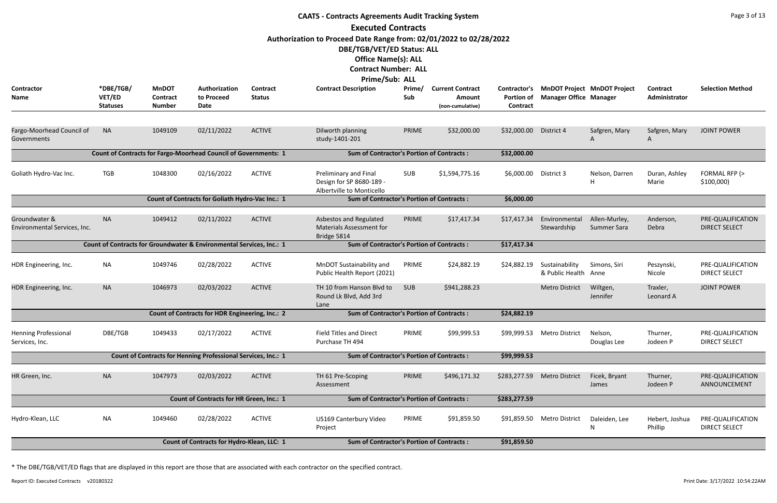|                                               |                                        |                                                  |                                                                        |                           | <b>CAATS - Contracts Agreements Audit Tracking System</b>                                        |               |                                                       |                                               |                                        |                                    |                                  | Page 3 of 13                              |
|-----------------------------------------------|----------------------------------------|--------------------------------------------------|------------------------------------------------------------------------|---------------------------|--------------------------------------------------------------------------------------------------|---------------|-------------------------------------------------------|-----------------------------------------------|----------------------------------------|------------------------------------|----------------------------------|-------------------------------------------|
|                                               |                                        |                                                  |                                                                        |                           | <b>Executed Contracts</b>                                                                        |               |                                                       |                                               |                                        |                                    |                                  |                                           |
|                                               |                                        |                                                  |                                                                        |                           | Authorization to Proceed Date Range from: 02/01/2022 to 02/28/2022<br>DBE/TGB/VET/ED Status: ALL |               |                                                       |                                               |                                        |                                    |                                  |                                           |
|                                               |                                        |                                                  |                                                                        |                           | <b>Office Name(s): ALL</b>                                                                       |               |                                                       |                                               |                                        |                                    |                                  |                                           |
|                                               |                                        |                                                  |                                                                        |                           | <b>Contract Number: ALL</b>                                                                      |               |                                                       |                                               |                                        |                                    |                                  |                                           |
|                                               |                                        |                                                  |                                                                        |                           | Prime/Sub: ALL                                                                                   |               |                                                       |                                               |                                        |                                    |                                  |                                           |
| Contractor<br>Name                            | *DBE/TGB/<br>VET/ED<br><b>Statuses</b> | <b>MnDOT</b><br><b>Contract</b><br><b>Number</b> | Authorization<br>to Proceed<br>Date                                    | Contract<br><b>Status</b> | <b>Contract Description</b>                                                                      | Prime/<br>Sub | <b>Current Contract</b><br>Amount<br>(non-cumulative) | Contractor's<br><b>Portion of</b><br>Contract | <b>Manager Office Manager</b>          | <b>MnDOT Project MnDOT Project</b> | <b>Contract</b><br>Administrator | <b>Selection Method</b>                   |
| Fargo-Moorhead Council of<br>Governments      | <b>NA</b>                              | 1049109                                          | 02/11/2022                                                             | <b>ACTIVE</b>             | Dilworth planning<br>study-1401-201                                                              | PRIME         | \$32,000.00                                           | \$32,000.00                                   | District 4                             | Safgren, Mary<br>A                 | Safgren, Mary<br>A               | <b>JOINT POWER</b>                        |
|                                               |                                        |                                                  | <b>Count of Contracts for Fargo-Moorhead Council of Governments: 1</b> |                           | <b>Sum of Contractor's Portion of Contracts:</b>                                                 |               |                                                       | \$32,000.00                                   |                                        |                                    |                                  |                                           |
| Goliath Hydro-Vac Inc.                        | <b>TGB</b>                             | 1048300                                          | 02/16/2022                                                             | <b>ACTIVE</b>             | Preliminary and Final<br>Design for SP 8680-189 -<br>Albertville to Monticello                   | SUB           | \$1,594,775.16                                        | \$6,000.00                                    | District 3                             | Nelson, Darren<br>H                | Duran, Ashley<br>Marie           | FORMAL RFP (><br>\$100,000                |
|                                               |                                        |                                                  |                                                                        |                           |                                                                                                  |               |                                                       |                                               |                                        |                                    |                                  |                                           |
| Groundwater &<br>Environmental Services, Inc. | <b>NA</b>                              | 1049412                                          | 02/11/2022                                                             | <b>ACTIVE</b>             | Asbestos and Regulated<br><b>Materials Assessment for</b><br>Bridge 5814                         | PRIME         | \$17,417.34                                           | \$17,417.34                                   | Environmental<br>Stewardship           | Allen-Murley,<br>Summer Sara       | Anderson,<br>Debra               | PRE-QUALIFICATION<br><b>DIRECT SELECT</b> |
|                                               |                                        |                                                  | Count of Contracts for Groundwater & Environmental Services, Inc.: 1   |                           | <b>Sum of Contractor's Portion of Contracts:</b>                                                 |               |                                                       | \$17,417.34                                   |                                        |                                    |                                  |                                           |
| HDR Engineering, Inc.                         | <b>NA</b>                              | 1049746                                          | 02/28/2022                                                             | <b>ACTIVE</b>             | MnDOT Sustainability and<br>Public Health Report (2021)                                          | PRIME         | \$24,882.19                                           | \$24,882.19                                   | Sustainability<br>& Public Health Anne | Simons, Siri                       | Peszynski,<br>Nicole             | PRE-QUALIFICATION<br><b>DIRECT SELECT</b> |
| HDR Engineering, Inc.                         | <b>NA</b>                              | 1046973                                          | 02/03/2022                                                             | <b>ACTIVE</b>             | TH 10 from Hanson Blvd to<br>Round Lk Blvd, Add 3rd<br>Lane                                      | <b>SUB</b>    | \$941,288.23                                          |                                               | <b>Metro District</b>                  | Wiltgen,<br>Jennifer               | Traxler,<br>Leonard A            | <b>JOINT POWER</b>                        |
|                                               |                                        |                                                  | <b>Count of Contracts for HDR Engineering, Inc.: 2</b>                 |                           | <b>Sum of Contractor's Portion of Contracts:</b>                                                 |               |                                                       | \$24,882.19                                   |                                        |                                    |                                  |                                           |
| <b>Henning Professional</b><br>Services, Inc. | DBE/TGB                                | 1049433                                          | 02/17/2022                                                             | <b>ACTIVE</b>             | <b>Field Titles and Direct</b><br>Purchase TH 494                                                | PRIME         | \$99,999.53                                           |                                               | \$99,999.53 Metro District             | Nelson,<br>Douglas Lee             | Thurner,<br>Jodeen P             | PRE-QUALIFICATION<br><b>DIRECT SELECT</b> |
|                                               |                                        |                                                  | Count of Contracts for Henning Professional Services, Inc.: 1          |                           | <b>Sum of Contractor's Portion of Contracts:</b>                                                 |               |                                                       | \$99,999.53                                   |                                        |                                    |                                  |                                           |
| HR Green, Inc.                                | <b>NA</b>                              | 1047973                                          | 02/03/2022                                                             | <b>ACTIVE</b>             | TH 61 Pre-Scoping<br>Assessment                                                                  | PRIME         | \$496,171.32                                          | \$283,277.59                                  | <b>Metro District</b>                  | Ficek, Bryant<br>James             | Thurner,<br>Jodeen P             | PRE-QUALIFICATION<br>ANNOUNCEMENT         |
|                                               |                                        |                                                  | Count of Contracts for HR Green, Inc.: 1                               |                           | <b>Sum of Contractor's Portion of Contracts:</b>                                                 |               |                                                       | \$283,277.59                                  |                                        |                                    |                                  |                                           |
| Hydro-Klean, LLC                              | <b>NA</b>                              | 1049460                                          | 02/28/2022                                                             | <b>ACTIVE</b>             | US169 Canterbury Video<br>Project                                                                | PRIME         | \$91,859.50                                           |                                               | \$91,859.50 Metro District             | Daleiden, Lee<br>N                 | Hebert, Joshua<br>Phillip        | PRE-QUALIFICATION<br><b>DIRECT SELECT</b> |
|                                               |                                        |                                                  | Count of Contracts for Hydro-Klean, LLC: 1                             |                           | <b>Sum of Contractor's Portion of Contracts:</b>                                                 |               |                                                       | \$91,859.50                                   |                                        |                                    |                                  |                                           |
|                                               |                                        |                                                  |                                                                        |                           |                                                                                                  |               |                                                       |                                               |                                        |                                    |                                  |                                           |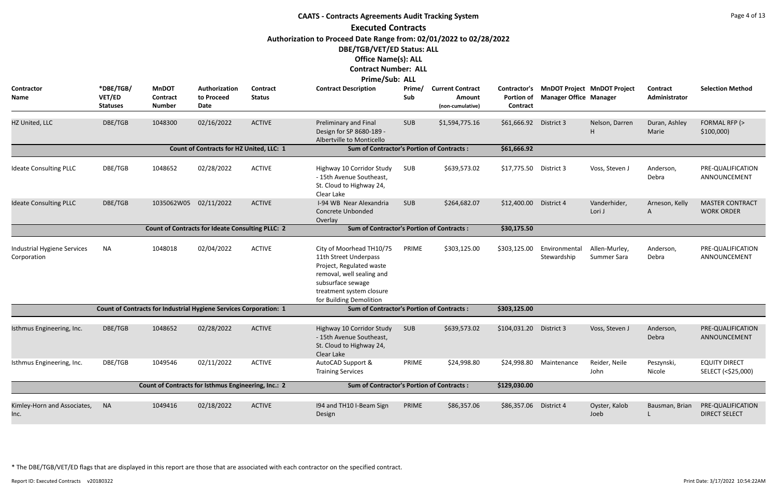|                                            |                                        |                                                                   |                                                         |                           | <b>CAATS - Contracts Agreements Audit Tracking System</b>                                                                                                                              |               |                                                       |                                               |                                                                     |                              |                           | Page 4 of 13                                |
|--------------------------------------------|----------------------------------------|-------------------------------------------------------------------|---------------------------------------------------------|---------------------------|----------------------------------------------------------------------------------------------------------------------------------------------------------------------------------------|---------------|-------------------------------------------------------|-----------------------------------------------|---------------------------------------------------------------------|------------------------------|---------------------------|---------------------------------------------|
|                                            |                                        |                                                                   |                                                         |                           | <b>Executed Contracts</b>                                                                                                                                                              |               |                                                       |                                               |                                                                     |                              |                           |                                             |
|                                            |                                        |                                                                   |                                                         |                           | Authorization to Proceed Date Range from: 02/01/2022 to 02/28/2022                                                                                                                     |               |                                                       |                                               |                                                                     |                              |                           |                                             |
|                                            |                                        |                                                                   |                                                         |                           | DBE/TGB/VET/ED Status: ALL                                                                                                                                                             |               |                                                       |                                               |                                                                     |                              |                           |                                             |
|                                            |                                        |                                                                   |                                                         |                           | <b>Office Name(s): ALL</b>                                                                                                                                                             |               |                                                       |                                               |                                                                     |                              |                           |                                             |
|                                            |                                        |                                                                   |                                                         |                           | <b>Contract Number: ALL</b>                                                                                                                                                            |               |                                                       |                                               |                                                                     |                              |                           |                                             |
|                                            |                                        |                                                                   |                                                         |                           | Prime/Sub: ALL                                                                                                                                                                         |               |                                                       |                                               |                                                                     |                              |                           |                                             |
| Contractor<br>Name                         | *DBE/TGB/<br>VET/ED<br><b>Statuses</b> | <b>MnDOT</b><br><b>Contract</b><br><b>Number</b>                  | Authorization<br>to Proceed<br><b>Date</b>              | Contract<br><b>Status</b> | <b>Contract Description</b>                                                                                                                                                            | Prime/<br>Sub | <b>Current Contract</b><br>Amount<br>(non-cumulative) | Contractor's<br><b>Portion of</b><br>Contract | <b>MnDOT Project MnDOT Project</b><br><b>Manager Office Manager</b> |                              | Contract<br>Administrator | <b>Selection Method</b>                     |
| HZ United, LLC                             | DBE/TGB                                | 1048300                                                           | 02/16/2022                                              | <b>ACTIVE</b>             | Preliminary and Final<br>Design for SP 8680-189 -<br>Albertville to Monticello                                                                                                         | <b>SUB</b>    | \$1,594,775.16                                        | \$61,666.92 District 3                        |                                                                     | Nelson, Darren<br>H          | Duran, Ashley<br>Marie    | FORMAL RFP (><br>\$100,000                  |
|                                            |                                        |                                                                   | Count of Contracts for HZ United, LLC: 1                |                           | <b>Sum of Contractor's Portion of Contracts:</b>                                                                                                                                       |               |                                                       | \$61,666.92                                   |                                                                     |                              |                           |                                             |
| <b>Ideate Consulting PLLC</b>              | DBE/TGB                                | 1048652                                                           | 02/28/2022                                              | <b>ACTIVE</b>             | Highway 10 Corridor Study<br>- 15th Avenue Southeast,<br>St. Cloud to Highway 24,<br>Clear Lake                                                                                        | SUB           | \$639,573.02                                          | \$17,775.50 District 3                        |                                                                     | Voss, Steven J               | Anderson,<br>Debra        | PRE-QUALIFICATION<br>ANNOUNCEMENT           |
| <b>Ideate Consulting PLLC</b>              | DBE/TGB                                | 1035062W05                                                        | 02/11/2022                                              | <b>ACTIVE</b>             | I-94 WB Near Alexandria<br><b>Concrete Unbonded</b><br>Overlay                                                                                                                         | <b>SUB</b>    | \$264,682.07                                          | \$12,400.00                                   | District 4                                                          | Vanderhider,<br>Lori J       | Arneson, Kelly<br>A       | <b>MASTER CONTRACT</b><br><b>WORK ORDER</b> |
|                                            |                                        |                                                                   | <b>Count of Contracts for Ideate Consulting PLLC: 2</b> |                           | <b>Sum of Contractor's Portion of Contracts:</b>                                                                                                                                       |               |                                                       | \$30,175.50                                   |                                                                     |                              |                           |                                             |
| Industrial Hygiene Services<br>Corporation | NA                                     | 1048018                                                           | 02/04/2022                                              | <b>ACTIVE</b>             | City of Moorhead TH10/75<br>11th Street Underpass<br>Project, Regulated waste<br>removal, well sealing and<br>subsurface sewage<br>treatment system closure<br>for Building Demolition | PRIME         | \$303,125.00                                          | \$303,125.00                                  | Environmental<br>Stewardship                                        | Allen-Murley,<br>Summer Sara | Anderson,<br>Debra        | PRE-QUALIFICATION<br>ANNOUNCEMENT           |
|                                            |                                        | Count of Contracts for Industrial Hygiene Services Corporation: 1 |                                                         |                           | <b>Sum of Contractor's Portion of Contracts:</b>                                                                                                                                       |               |                                                       | \$303,125.00                                  |                                                                     |                              |                           |                                             |
| Isthmus Engineering, Inc.                  | DBE/TGB                                | 1048652                                                           | 02/28/2022                                              | <b>ACTIVE</b>             | Highway 10 Corridor Study<br>- 15th Avenue Southeast,<br>St. Cloud to Highway 24,<br>Clear Lake                                                                                        | <b>SUB</b>    | \$639,573.02                                          | \$104,031.20                                  | District 3                                                          | Voss, Steven J               | Anderson,<br>Debra        | PRE-QUALIFICATION<br>ANNOUNCEMENT           |
| Isthmus Engineering, Inc.                  | DBE/TGB                                | 1049546                                                           | 02/11/2022                                              | <b>ACTIVE</b>             | AutoCAD Support &<br><b>Training Services</b>                                                                                                                                          | PRIME         | \$24,998.80                                           |                                               | \$24,998.80 Maintenance                                             | Reider, Neile<br>John        | Peszynski,<br>Nicole      | <b>EQUITY DIRECT</b><br>SELECT (<\$25,000)  |
|                                            |                                        | Count of Contracts for Isthmus Engineering, Inc.: 2               |                                                         |                           | <b>Sum of Contractor's Portion of Contracts:</b>                                                                                                                                       |               |                                                       | \$129,030.00                                  |                                                                     |                              |                           |                                             |
| Kimley-Horn and Associates,<br>Inc.        | <b>NA</b>                              | 1049416                                                           | 02/18/2022                                              | <b>ACTIVE</b>             | 194 and TH10 I-Beam Sign<br>Design                                                                                                                                                     | PRIME         | \$86,357.06                                           | \$86,357.06                                   | District 4                                                          | Oyster, Kalob<br>Joeb        | Bausman, Brian            | PRE-QUALIFICATION<br><b>DIRECT SELECT</b>   |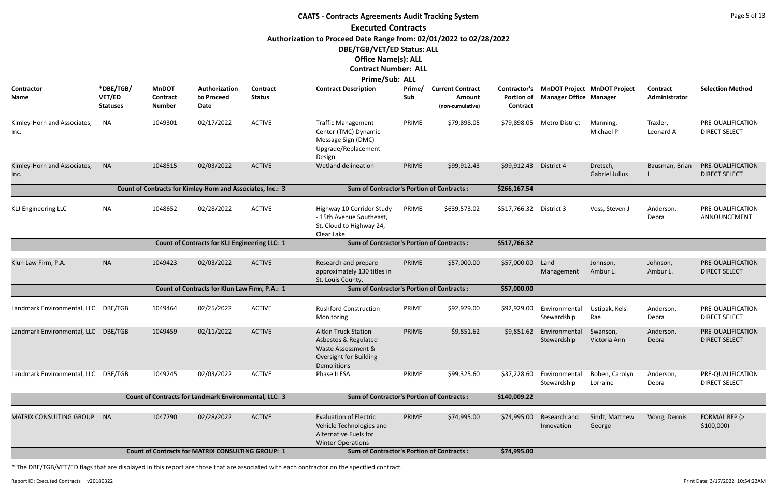|                                     | <b>CAATS - Contracts Agreements Audit Tracking System</b><br><b>Executed Contracts</b> |                                                  |                                                              |                                  |                                                                                                                           |               |                                                       |                                                      |                               |                                    |                           |                                           |  |  |
|-------------------------------------|----------------------------------------------------------------------------------------|--------------------------------------------------|--------------------------------------------------------------|----------------------------------|---------------------------------------------------------------------------------------------------------------------------|---------------|-------------------------------------------------------|------------------------------------------------------|-------------------------------|------------------------------------|---------------------------|-------------------------------------------|--|--|
|                                     |                                                                                        |                                                  |                                                              |                                  |                                                                                                                           |               |                                                       |                                                      |                               |                                    |                           |                                           |  |  |
|                                     |                                                                                        |                                                  |                                                              |                                  | Authorization to Proceed Date Range from: 02/01/2022 to 02/28/2022                                                        |               |                                                       |                                                      |                               |                                    |                           |                                           |  |  |
|                                     |                                                                                        |                                                  |                                                              |                                  | DBE/TGB/VET/ED Status: ALL                                                                                                |               |                                                       |                                                      |                               |                                    |                           |                                           |  |  |
|                                     |                                                                                        |                                                  |                                                              |                                  | <b>Office Name(s): ALL</b>                                                                                                |               |                                                       |                                                      |                               |                                    |                           |                                           |  |  |
|                                     |                                                                                        |                                                  |                                                              |                                  | <b>Contract Number: ALL</b>                                                                                               |               |                                                       |                                                      |                               |                                    |                           |                                           |  |  |
|                                     |                                                                                        |                                                  |                                                              |                                  | Prime/Sub: ALL                                                                                                            |               |                                                       |                                                      |                               |                                    |                           |                                           |  |  |
| Contractor<br>Name                  | *DBE/TGB/<br>VET/ED<br><b>Statuses</b>                                                 | <b>MnDOT</b><br><b>Contract</b><br><b>Number</b> | Authorization<br>to Proceed<br>Date                          | <b>Contract</b><br><b>Status</b> | <b>Contract Description</b>                                                                                               | Prime/<br>Sub | <b>Current Contract</b><br>Amount<br>(non-cumulative) | <b>Contractor's</b><br><b>Portion of</b><br>Contract | <b>Manager Office Manager</b> | <b>MnDOT Project MnDOT Project</b> | Contract<br>Administrator | <b>Selection Method</b>                   |  |  |
| Kimley-Horn and Associates,<br>Inc. | <b>NA</b>                                                                              | 1049301                                          | 02/17/2022                                                   | <b>ACTIVE</b>                    | <b>Traffic Management</b><br>Center (TMC) Dynamic<br>Message Sign (DMC)<br>Upgrade/Replacement<br>Design                  | PRIME         | \$79,898.05                                           | \$79,898.05                                          | Metro District                | Manning,<br>Michael P              | Traxler,<br>Leonard A     | PRE-QUALIFICATION<br><b>DIRECT SELECT</b> |  |  |
| Kimley-Horn and Associates,<br>Inc. | <b>NA</b>                                                                              | 1048515                                          | 02/03/2022                                                   | <b>ACTIVE</b>                    | Wetland delineation                                                                                                       | PRIME         | \$99,912.43                                           | \$99,912.43 District 4                               |                               | Dretsch,<br><b>Gabriel Julius</b>  | Bausman, Brian            | PRE-QUALIFICATION<br><b>DIRECT SELECT</b> |  |  |
|                                     |                                                                                        |                                                  |                                                              |                                  |                                                                                                                           |               |                                                       |                                                      |                               |                                    |                           |                                           |  |  |
| <b>KLJ Engineering LLC</b>          | <b>NA</b>                                                                              | 1048652                                          | 02/28/2022                                                   | <b>ACTIVE</b>                    | Highway 10 Corridor Study<br>- 15th Avenue Southeast,<br>St. Cloud to Highway 24,<br>Clear Lake                           | PRIME         | \$639,573.02                                          | \$517,766.32                                         | District 3                    | Voss, Steven J                     | Anderson,<br>Debra        | PRE-QUALIFICATION<br>ANNOUNCEMENT         |  |  |
|                                     |                                                                                        |                                                  | <b>Count of Contracts for KLJ Engineering LLC: 1</b>         |                                  | <b>Sum of Contractor's Portion of Contracts:</b>                                                                          |               |                                                       | \$517,766.32                                         |                               |                                    |                           |                                           |  |  |
|                                     |                                                                                        |                                                  |                                                              |                                  |                                                                                                                           |               |                                                       |                                                      |                               |                                    |                           |                                           |  |  |
| Klun Law Firm, P.A.                 | <b>NA</b>                                                                              | 1049423                                          | 02/03/2022                                                   | <b>ACTIVE</b>                    | Research and prepare<br>approximately 130 titles in<br>St. Louis County.                                                  | PRIME         | \$57,000.00                                           | \$57,000.00                                          | Land<br>Management            | Johnson,<br>Ambur L.               | Johnson,<br>Ambur L.      | PRE-QUALIFICATION<br><b>DIRECT SELECT</b> |  |  |
|                                     |                                                                                        |                                                  | Count of Contracts for Klun Law Firm, P.A.: 1                |                                  | <b>Sum of Contractor's Portion of Contracts:</b>                                                                          |               |                                                       | \$57,000.00                                          |                               |                                    |                           |                                           |  |  |
| Landmark Environmental, LLC DBE/TGB |                                                                                        | 1049464                                          | 02/25/2022                                                   | <b>ACTIVE</b>                    | <b>Rushford Construction</b><br>Monitoring                                                                                | PRIME         | \$92,929.00                                           | \$92,929.00                                          | Environmental<br>Stewardship  | Ustipak, Kelsi<br>Rae              | Anderson,<br>Debra        | PRE-QUALIFICATION<br><b>DIRECT SELECT</b> |  |  |
| Landmark Environmental, LLC DBE/TGB |                                                                                        | 1049459                                          | 02/11/2022                                                   | <b>ACTIVE</b>                    | <b>Aitkin Truck Station</b><br>Asbestos & Regulated<br>Waste Assessment &<br><b>Oversight for Building</b><br>Demolitions | PRIME         | \$9,851.62                                            | \$9,851.62                                           | Environmental<br>Stewardship  | Swanson,<br>Victoria Ann           | Anderson,<br>Debra        | PRE-QUALIFICATION<br><b>DIRECT SELECT</b> |  |  |
| Landmark Environmental, LLC         | DBE/TGB                                                                                | 1049245                                          | 02/03/2022                                                   | <b>ACTIVE</b>                    | Phase II ESA                                                                                                              | PRIME         | \$99,325.60                                           | \$37,228.60                                          | Environmental<br>Stewardship  | Boben, Carolyn<br>Lorraine         | Anderson,<br>Debra        | PRE-QUALIFICATION<br><b>DIRECT SELECT</b> |  |  |
|                                     |                                                                                        |                                                  | <b>Count of Contracts for Landmark Environmental, LLC: 3</b> |                                  | <b>Sum of Contractor's Portion of Contracts:</b>                                                                          |               |                                                       | \$140,009.22                                         |                               |                                    |                           |                                           |  |  |
| <b>MATRIX CONSULTING GROUP</b>      | <b>NA</b>                                                                              | 1047790                                          | 02/28/2022                                                   | <b>ACTIVE</b>                    | <b>Evaluation of Electric</b><br>Vehicle Technologies and<br><b>Alternative Fuels for</b><br><b>Winter Operations</b>     | PRIME         | \$74,995.00                                           | \$74,995.00                                          | Research and<br>Innovation    | Sindt, Matthew<br>George           | Wong, Dennis              | FORMAL RFP (><br>\$100,000                |  |  |
|                                     |                                                                                        |                                                  | <b>Count of Contracts for MATRIX CONSULTING GROUP: 1</b>     |                                  | <b>Sum of Contractor's Portion of Contracts:</b>                                                                          |               |                                                       | \$74,995.00                                          |                               |                                    |                           |                                           |  |  |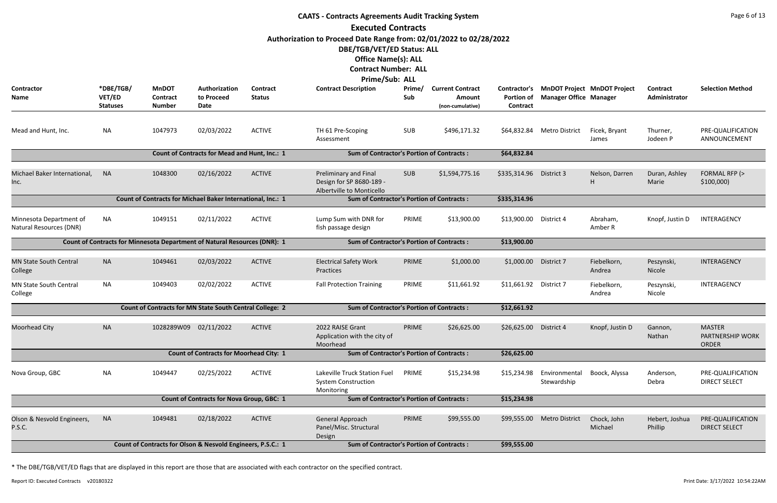|                                                                                                                                 |                                        |                                                  |                                                                           |                           | <b>CAATS - Contracts Agreements Audit Tracking System</b>                                                                                                     |               |                                                       |                                                      |                               |                                    |                                  | Page 6 of 13                                      |  |
|---------------------------------------------------------------------------------------------------------------------------------|----------------------------------------|--------------------------------------------------|---------------------------------------------------------------------------|---------------------------|---------------------------------------------------------------------------------------------------------------------------------------------------------------|---------------|-------------------------------------------------------|------------------------------------------------------|-------------------------------|------------------------------------|----------------------------------|---------------------------------------------------|--|
|                                                                                                                                 |                                        |                                                  |                                                                           |                           | <b>Executed Contracts</b>                                                                                                                                     |               |                                                       |                                                      |                               |                                    |                                  |                                                   |  |
|                                                                                                                                 |                                        |                                                  |                                                                           |                           | Authorization to Proceed Date Range from: 02/01/2022 to 02/28/2022<br>DBE/TGB/VET/ED Status: ALL<br><b>Office Name(s): ALL</b><br><b>Contract Number: ALL</b> |               |                                                       |                                                      |                               |                                    |                                  |                                                   |  |
| <b>Contractor</b><br>Name                                                                                                       | *DBE/TGB/<br>VET/ED<br><b>Statuses</b> | <b>MnDOT</b><br><b>Contract</b><br><b>Number</b> | Authorization<br>to Proceed<br>Date                                       | Contract<br><b>Status</b> | Prime/Sub: ALL<br><b>Contract Description</b>                                                                                                                 | Prime/<br>Sub | <b>Current Contract</b><br>Amount<br>(non-cumulative) | <b>Contractor's</b><br><b>Portion of</b><br>Contract | <b>Manager Office Manager</b> | <b>MnDOT Project MnDOT Project</b> | <b>Contract</b><br>Administrator | <b>Selection Method</b>                           |  |
| Mead and Hunt, Inc.                                                                                                             | <b>NA</b>                              | 1047973                                          | 02/03/2022                                                                | <b>ACTIVE</b>             | TH 61 Pre-Scoping<br>Assessment                                                                                                                               | <b>SUB</b>    | \$496,171.32                                          |                                                      | \$64,832.84 Metro District    | Ficek, Bryant<br>James             | Thurner,<br>Jodeen P             | PRE-QUALIFICATION<br>ANNOUNCEMENT                 |  |
| Count of Contracts for Mead and Hunt, Inc.: 1<br><b>Sum of Contractor's Portion of Contracts:</b><br>\$64,832.84                |                                        |                                                  |                                                                           |                           |                                                                                                                                                               |               |                                                       |                                                      |                               |                                    |                                  |                                                   |  |
| Michael Baker International,<br>Inc.                                                                                            | <b>NA</b>                              | 1048300                                          | 02/16/2022                                                                | <b>ACTIVE</b>             | Preliminary and Final<br>Design for SP 8680-189 -<br>Albertville to Monticello                                                                                | <b>SUB</b>    | \$1,594,775.16                                        | \$335,314.96                                         | District 3                    | Nelson, Darren                     | Duran, Ashley<br>Marie           | FORMAL RFP (><br>\$100,000                        |  |
| Count of Contracts for Michael Baker International, Inc.: 1<br><b>Sum of Contractor's Portion of Contracts:</b><br>\$335,314.96 |                                        |                                                  |                                                                           |                           |                                                                                                                                                               |               |                                                       |                                                      |                               |                                    |                                  |                                                   |  |
| Minnesota Department of<br>Natural Resources (DNR)                                                                              | <b>NA</b>                              | 1049151                                          | 02/11/2022                                                                | <b>ACTIVE</b>             | Lump Sum with DNR for<br>fish passage design                                                                                                                  | PRIME         | \$13,900.00                                           | \$13,900.00                                          | District 4                    | Abraham,<br>Amber R                | Knopf, Justin D                  | INTERAGENCY                                       |  |
|                                                                                                                                 |                                        |                                                  | Count of Contracts for Minnesota Department of Natural Resources (DNR): 1 |                           | <b>Sum of Contractor's Portion of Contracts:</b>                                                                                                              |               |                                                       | \$13,900.00                                          |                               |                                    |                                  |                                                   |  |
| <b>MN State South Central</b><br>College                                                                                        | <b>NA</b>                              | 1049461                                          | 02/03/2022                                                                | <b>ACTIVE</b>             | <b>Electrical Safety Work</b><br>Practices                                                                                                                    | PRIME         | \$1,000.00                                            | \$1,000.00                                           | District 7                    | Fiebelkorn,<br>Andrea              | Peszynski,<br>Nicole             | INTERAGENCY                                       |  |
| MN State South Central<br>College                                                                                               | <b>NA</b>                              | 1049403                                          | 02/02/2022                                                                | <b>ACTIVE</b>             | <b>Fall Protection Training</b>                                                                                                                               | PRIME         | \$11,661.92                                           | \$11,661.92                                          | District 7                    | Fiebelkorn,<br>Andrea              | Peszynski,<br>Nicole             | INTERAGENCY                                       |  |
|                                                                                                                                 |                                        |                                                  | Count of Contracts for MN State South Central College: 2                  |                           | <b>Sum of Contractor's Portion of Contracts:</b>                                                                                                              |               |                                                       | \$12,661.92                                          |                               |                                    |                                  |                                                   |  |
| <b>Moorhead City</b>                                                                                                            | <b>NA</b>                              | 1028289W09 02/11/2022                            |                                                                           | <b>ACTIVE</b>             | 2022 RAISE Grant<br>Application with the city of<br>Moorhead                                                                                                  | PRIME         | \$26,625.00                                           | \$26,625.00                                          | District 4                    | Knopf, Justin D                    | Gannon,<br>Nathan                | <b>MASTER</b><br><b>PARTNERSHIP WORK</b><br>ORDER |  |
|                                                                                                                                 |                                        |                                                  | <b>Count of Contracts for Moorhead City: 1</b>                            |                           | <b>Sum of Contractor's Portion of Contracts:</b>                                                                                                              |               |                                                       | \$26,625.00                                          |                               |                                    |                                  |                                                   |  |
| Nova Group, GBC                                                                                                                 | <b>NA</b>                              | 1049447                                          | 02/25/2022                                                                | <b>ACTIVE</b>             | Lakeville Truck Station Fuel<br><b>System Construction</b><br>Monitoring                                                                                      | PRIME         | \$15,234.98                                           | \$15,234.98                                          | Environmental<br>Stewardship  | Boock, Alyssa                      | Anderson,<br>Debra               | PRE-QUALIFICATION<br><b>DIRECT SELECT</b>         |  |
|                                                                                                                                 |                                        |                                                  | <b>Count of Contracts for Nova Group, GBC: 1</b>                          |                           | <b>Sum of Contractor's Portion of Contracts:</b>                                                                                                              |               |                                                       | \$15,234.98                                          |                               |                                    |                                  |                                                   |  |
| Olson & Nesvold Engineers,<br>P.S.C.                                                                                            | <b>NA</b>                              | 1049481                                          | 02/18/2022                                                                | <b>ACTIVE</b>             | General Approach<br>Panel/Misc. Structural<br>Design                                                                                                          | PRIME         | \$99,555.00                                           | \$99,555.00                                          | <b>Metro District</b>         | Chock, John<br>Michael             | Hebert, Joshua<br>Phillip        | PRE-QUALIFICATION<br><b>DIRECT SELECT</b>         |  |
|                                                                                                                                 |                                        |                                                  | Count of Contracts for Olson & Nesvold Engineers, P.S.C.: 1               |                           | <b>Sum of Contractor's Portion of Contracts:</b>                                                                                                              |               |                                                       | \$99,555.00                                          |                               |                                    |                                  |                                                   |  |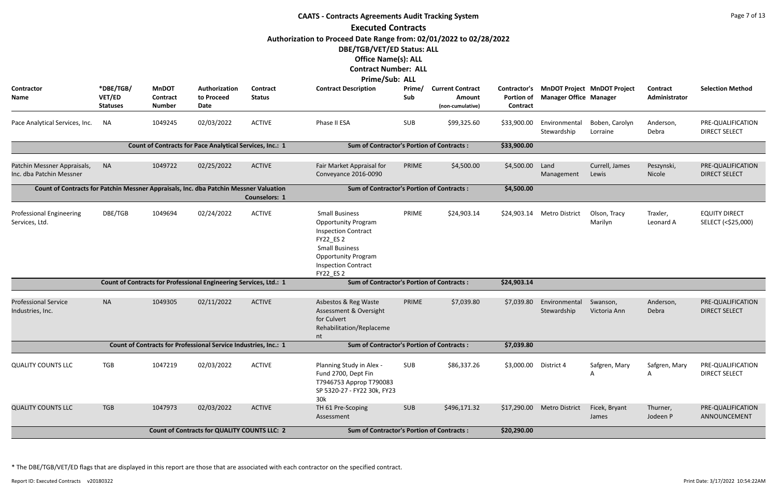|                                                                                       | <b>CAATS - Contracts Agreements Audit Tracking System</b> |                                           |                                                                   |                           |                                                                                                                                                                                                         |               |                                                       |                                               |                               |                                    |                           |                                            |  |  |
|---------------------------------------------------------------------------------------|-----------------------------------------------------------|-------------------------------------------|-------------------------------------------------------------------|---------------------------|---------------------------------------------------------------------------------------------------------------------------------------------------------------------------------------------------------|---------------|-------------------------------------------------------|-----------------------------------------------|-------------------------------|------------------------------------|---------------------------|--------------------------------------------|--|--|
|                                                                                       |                                                           |                                           |                                                                   |                           | <b>Executed Contracts</b>                                                                                                                                                                               |               |                                                       |                                               |                               |                                    |                           |                                            |  |  |
|                                                                                       |                                                           |                                           |                                                                   |                           | Authorization to Proceed Date Range from: 02/01/2022 to 02/28/2022<br>DBE/TGB/VET/ED Status: ALL<br><b>Office Name(s): ALL</b><br><b>Contract Number: ALL</b><br>Prime/Sub: ALL                         |               |                                                       |                                               |                               |                                    |                           |                                            |  |  |
| <b>Contractor</b><br><b>Name</b>                                                      | *DBE/TGB/<br>VET/ED<br><b>Statuses</b>                    | <b>MnDOT</b><br>Contract<br><b>Number</b> | Authorization<br>to Proceed<br><b>Date</b>                        | Contract<br><b>Status</b> | <b>Contract Description</b>                                                                                                                                                                             | Prime/<br>Sub | <b>Current Contract</b><br>Amount<br>(non-cumulative) | <b>Contractor's</b><br>Portion of<br>Contract | <b>Manager Office Manager</b> | <b>MnDOT Project MnDOT Project</b> | Contract<br>Administrator | <b>Selection Method</b>                    |  |  |
| Pace Analytical Services, Inc.                                                        | NA                                                        | 1049245                                   | 02/03/2022                                                        | <b>ACTIVE</b>             | Phase II ESA                                                                                                                                                                                            | SUB           | \$99,325.60                                           | \$33,900.00                                   | Environmental<br>Stewardship  | Boben, Carolyn<br>Lorraine         | Anderson,<br>Debra        | PRE-QUALIFICATION<br><b>DIRECT SELECT</b>  |  |  |
|                                                                                       |                                                           |                                           | <b>Count of Contracts for Pace Analytical Services, Inc.: 1</b>   |                           | <b>Sum of Contractor's Portion of Contracts:</b>                                                                                                                                                        |               |                                                       | \$33,900.00                                   |                               |                                    |                           |                                            |  |  |
| Patchin Messner Appraisals,<br>Inc. dba Patchin Messner                               | <b>NA</b>                                                 | 1049722                                   | 02/25/2022                                                        | <b>ACTIVE</b>             | Fair Market Appraisal for<br>Conveyance 2016-0090                                                                                                                                                       | PRIME         | \$4,500.00                                            | \$4,500.00                                    | Land<br>Management            | Currell, James<br>Lewis            | Peszynski,<br>Nicole      | PRE-QUALIFICATION<br><b>DIRECT SELECT</b>  |  |  |
| Count of Contracts for Patchin Messner Appraisals, Inc. dba Patchin Messner Valuation |                                                           |                                           |                                                                   | <b>Counselors: 1</b>      | <b>Sum of Contractor's Portion of Contracts:</b>                                                                                                                                                        |               |                                                       | \$4,500.00                                    |                               |                                    |                           |                                            |  |  |
| <b>Professional Engineering</b><br>Services, Ltd.                                     | DBE/TGB                                                   | 1049694                                   | 02/24/2022                                                        | <b>ACTIVE</b>             | <b>Small Business</b><br><b>Opportunity Program</b><br><b>Inspection Contract</b><br>FY22_ES 2<br><b>Small Business</b><br><b>Opportunity Program</b><br><b>Inspection Contract</b><br><b>FY22 ES 2</b> | PRIME         | \$24,903.14                                           |                                               | \$24,903.14 Metro District    | Olson, Tracy<br>Marilyn            | Traxler,<br>Leonard A     | <b>EQUITY DIRECT</b><br>SELECT (<\$25,000) |  |  |
|                                                                                       |                                                           |                                           | Count of Contracts for Professional Engineering Services, Ltd.: 1 |                           | <b>Sum of Contractor's Portion of Contracts:</b>                                                                                                                                                        |               |                                                       | \$24,903.14                                   |                               |                                    |                           |                                            |  |  |
| <b>Professional Service</b><br>Industries, Inc.                                       | <b>NA</b>                                                 | 1049305                                   | 02/11/2022                                                        | <b>ACTIVE</b>             | Asbestos & Reg Waste<br>Assessment & Oversight<br>for Culvert<br>Rehabilitation/Replaceme<br>nt                                                                                                         | PRIME         | \$7,039.80                                            | \$7,039.80                                    | Environmental<br>Stewardship  | Swanson,<br>Victoria Ann           | Anderson,<br>Debra        | PRE-QUALIFICATION<br><b>DIRECT SELECT</b>  |  |  |
|                                                                                       |                                                           |                                           | Count of Contracts for Professional Service Industries, Inc.: 1   |                           | <b>Sum of Contractor's Portion of Contracts:</b>                                                                                                                                                        |               |                                                       | \$7,039.80                                    |                               |                                    |                           |                                            |  |  |
| <b>QUALITY COUNTS LLC</b>                                                             | <b>TGB</b>                                                | 1047219                                   | 02/03/2022                                                        | <b>ACTIVE</b>             | Planning Study in Alex -<br>Fund 2700, Dept Fin<br>T7946753 Approp T790083<br>SP 5320-27 - FY22 30k, FY23<br>30k                                                                                        | <b>SUB</b>    | \$86,337.26                                           | \$3,000.00                                    | District 4                    | Safgren, Mary<br>A                 | Safgren, Mary<br>A        | PRE-QUALIFICATION<br><b>DIRECT SELECT</b>  |  |  |
| <b>QUALITY COUNTS LLC</b>                                                             | <b>TGB</b>                                                | 1047973                                   | 02/03/2022                                                        | <b>ACTIVE</b>             | TH 61 Pre-Scoping<br>Assessment                                                                                                                                                                         | SUB           | \$496,171.32                                          |                                               | \$17,290.00 Metro District    | Ficek, Bryant<br>James             | Thurner,<br>Jodeen P      | PRE-QUALIFICATION<br>ANNOUNCEMENT          |  |  |
|                                                                                       |                                                           |                                           | <b>Count of Contracts for QUALITY COUNTS LLC: 2</b>               |                           | <b>Sum of Contractor's Portion of Contracts:</b>                                                                                                                                                        |               |                                                       | \$20,290.00                                   |                               |                                    |                           |                                            |  |  |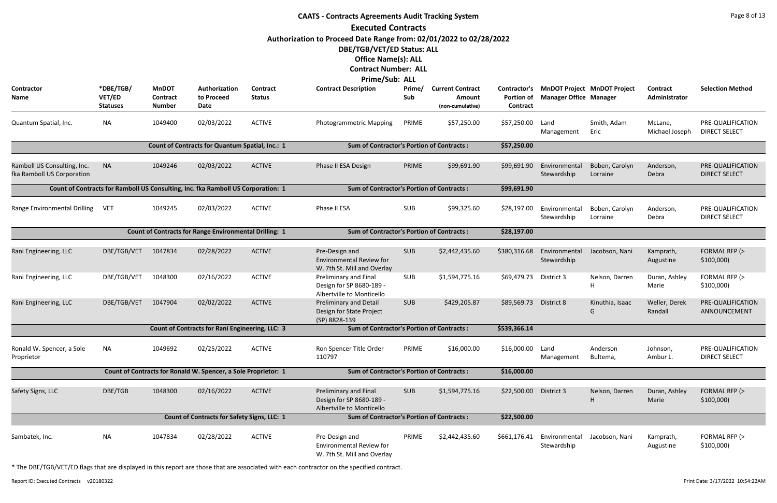|                                                           |                                        |                                                  |                                                                                  |                           | <b>CAATS - Contracts Agreements Audit Tracking System</b>                        |               |                                                       |                                               |                               |                                    |                           | Page 8 of 13                              |
|-----------------------------------------------------------|----------------------------------------|--------------------------------------------------|----------------------------------------------------------------------------------|---------------------------|----------------------------------------------------------------------------------|---------------|-------------------------------------------------------|-----------------------------------------------|-------------------------------|------------------------------------|---------------------------|-------------------------------------------|
|                                                           |                                        |                                                  |                                                                                  |                           | <b>Executed Contracts</b>                                                        |               |                                                       |                                               |                               |                                    |                           |                                           |
|                                                           |                                        |                                                  |                                                                                  |                           | Authorization to Proceed Date Range from: 02/01/2022 to 02/28/2022               |               |                                                       |                                               |                               |                                    |                           |                                           |
|                                                           |                                        |                                                  |                                                                                  |                           | DBE/TGB/VET/ED Status: ALL                                                       |               |                                                       |                                               |                               |                                    |                           |                                           |
|                                                           |                                        |                                                  |                                                                                  |                           | <b>Office Name(s): ALL</b>                                                       |               |                                                       |                                               |                               |                                    |                           |                                           |
|                                                           |                                        |                                                  |                                                                                  |                           | <b>Contract Number: ALL</b>                                                      |               |                                                       |                                               |                               |                                    |                           |                                           |
|                                                           |                                        |                                                  |                                                                                  |                           | Prime/Sub: ALL                                                                   |               |                                                       |                                               |                               |                                    |                           |                                           |
| Contractor<br>Name                                        | *DBE/TGB/<br>VET/ED<br><b>Statuses</b> | <b>MnDOT</b><br><b>Contract</b><br><b>Number</b> | Authorization<br>to Proceed<br>Date                                              | Contract<br><b>Status</b> | <b>Contract Description</b>                                                      | Prime/<br>Sub | <b>Current Contract</b><br>Amount<br>(non-cumulative) | Contractor's<br><b>Portion of</b><br>Contract | <b>Manager Office Manager</b> | <b>MnDOT Project MnDOT Project</b> | Contract<br>Administrator | <b>Selection Method</b>                   |
| Quantum Spatial, Inc.                                     | <b>NA</b>                              | 1049400                                          | 02/03/2022                                                                       | <b>ACTIVE</b>             | Photogrammetric Mapping                                                          | PRIME         | \$57,250.00                                           | \$57,250.00                                   | Land<br>Management            | Smith, Adam<br>Eric                | McLane,<br>Michael Joseph | PRE-QUALIFICATION<br><b>DIRECT SELECT</b> |
|                                                           |                                        |                                                  | Count of Contracts for Quantum Spatial, Inc.: 1                                  |                           | <b>Sum of Contractor's Portion of Contracts:</b>                                 |               |                                                       | \$57,250.00                                   |                               |                                    |                           |                                           |
| Ramboll US Consulting, Inc.<br>fka Ramboll US Corporation | <b>NA</b>                              | 1049246                                          | 02/03/2022                                                                       | <b>ACTIVE</b>             | Phase II ESA Design                                                              | PRIME         | \$99,691.90                                           | \$99,691.90                                   | Environmental<br>Stewardship  | Boben, Carolyn<br>Lorraine         | Anderson,<br>Debra        | PRE-QUALIFICATION<br><b>DIRECT SELECT</b> |
|                                                           |                                        |                                                  | Count of Contracts for Ramboll US Consulting, Inc. fka Ramboll US Corporation: 1 |                           | <b>Sum of Contractor's Portion of Contracts:</b>                                 |               |                                                       | \$99,691.90                                   |                               |                                    |                           |                                           |
| Range Environmental Drilling                              | <b>VET</b>                             | 1049245                                          | 02/03/2022                                                                       | <b>ACTIVE</b>             | Phase II ESA                                                                     | SUB           | \$99,325.60                                           | \$28,197.00                                   | Environmental<br>Stewardship  | Boben, Carolyn<br>Lorraine         | Anderson,<br>Debra        | PRE-QUALIFICATION<br><b>DIRECT SELECT</b> |
|                                                           |                                        |                                                  | <b>Count of Contracts for Range Environmental Drilling: 1</b>                    |                           | <b>Sum of Contractor's Portion of Contracts:</b>                                 |               |                                                       | \$28,197.00                                   |                               |                                    |                           |                                           |
|                                                           |                                        | 1047834                                          | 02/28/2022                                                                       | <b>ACTIVE</b>             |                                                                                  | <b>SUB</b>    |                                                       | \$380,316.68                                  |                               |                                    |                           |                                           |
| Rani Engineering, LLC                                     | DBE/TGB/VET                            |                                                  |                                                                                  |                           | Pre-Design and<br><b>Environmental Review for</b><br>W. 7th St. Mill and Overlay |               | \$2,442,435.60                                        |                                               | Environmental<br>Stewardship  | Jacobson, Nani                     | Kamprath,<br>Augustine    | FORMAL RFP (><br>\$100,000                |
| Rani Engineering, LLC                                     | DBE/TGB/VET                            | 1048300                                          | 02/16/2022                                                                       | <b>ACTIVE</b>             | Preliminary and Final<br>Design for SP 8680-189 -<br>Albertville to Monticello   | SUB           | \$1,594,775.16                                        | \$69,479.73                                   | District 3                    | Nelson, Darren<br>Н                | Duran, Ashley<br>Marie    | FORMAL RFP (><br>\$100,000                |
| Rani Engineering, LLC                                     | DBE/TGB/VET                            | 1047904                                          | 02/02/2022                                                                       | <b>ACTIVE</b>             | <b>Preliminary and Detail</b><br>Design for State Project<br>(SP) 8828-139       | <b>SUB</b>    | \$429,205.87                                          | \$89,569.73                                   | District 8                    | Kinuthia, Isaac<br>G               | Weller, Derek<br>Randall  | PRE-QUALIFICATION<br>ANNOUNCEMENT         |
|                                                           |                                        |                                                  | Count of Contracts for Rani Engineering, LLC: 3                                  |                           | <b>Sum of Contractor's Portion of Contracts:</b>                                 |               |                                                       | \$539,366.14                                  |                               |                                    |                           |                                           |
| Ronald W. Spencer, a Sole<br>Proprietor                   | NA                                     | 1049692                                          | 02/25/2022                                                                       | <b>ACTIVE</b>             | Ron Spencer Title Order<br>110797                                                | PRIME         | \$16,000.00                                           | \$16,000.00                                   | Land<br>Management            | Anderson<br>Bultema,               | Johnson,<br>Ambur L.      | PRE-QUALIFICATION<br><b>DIRECT SELECT</b> |
|                                                           |                                        |                                                  | Count of Contracts for Ronald W. Spencer, a Sole Proprietor: 1                   |                           | <b>Sum of Contractor's Portion of Contracts:</b>                                 |               |                                                       | \$16,000.00                                   |                               |                                    |                           |                                           |
| Safety Signs, LLC                                         | DBE/TGB                                | 1048300                                          | 02/16/2022                                                                       | <b>ACTIVE</b>             | Preliminary and Final<br>Design for SP 8680-189 -<br>Albertville to Monticello   | <b>SUB</b>    | \$1,594,775.16                                        | \$22,500.00                                   | District 3                    | Nelson, Darren<br>H                | Duran, Ashley<br>Marie    | FORMAL RFP (><br>\$100,000                |
|                                                           |                                        |                                                  | Count of Contracts for Safety Signs, LLC: 1                                      |                           | <b>Sum of Contractor's Portion of Contracts:</b>                                 |               |                                                       | \$22,500.00                                   |                               |                                    |                           |                                           |
| Sambatek, Inc.                                            | <b>NA</b>                              | 1047834                                          | 02/28/2022                                                                       | <b>ACTIVE</b>             | Pre-Design and<br><b>Environmental Review for</b><br>W. 7th St. Mill and Overlay | PRIME         | \$2,442,435.60                                        | \$661,176.41                                  | Environmental<br>Stewardship  | Jacobson, Nani                     | Kamprath,<br>Augustine    | FORMAL RFP (><br>\$100,000                |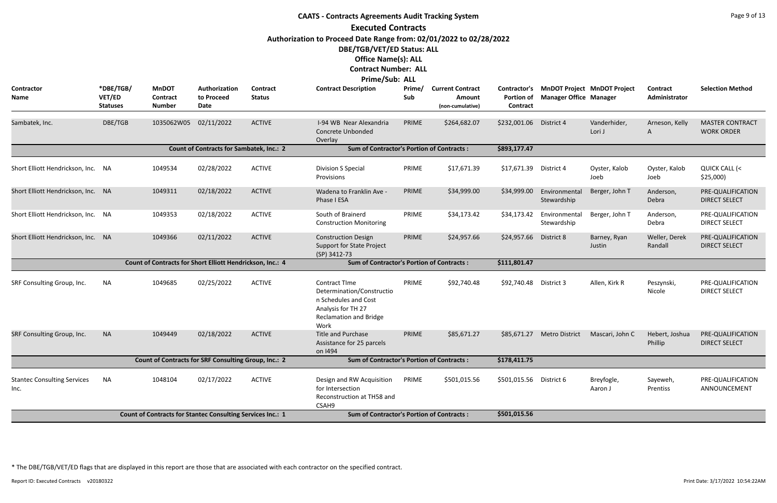|                                                                                                                     | <b>CAATS - Contracts Agreements Audit Tracking System</b><br><b>Executed Contracts</b> |                                                                   |                                     |                                  |                                                                                                                                          |               |                                                       |                               |                               |                                          |                           |                                             |  |  |
|---------------------------------------------------------------------------------------------------------------------|----------------------------------------------------------------------------------------|-------------------------------------------------------------------|-------------------------------------|----------------------------------|------------------------------------------------------------------------------------------------------------------------------------------|---------------|-------------------------------------------------------|-------------------------------|-------------------------------|------------------------------------------|---------------------------|---------------------------------------------|--|--|
|                                                                                                                     |                                                                                        |                                                                   |                                     |                                  |                                                                                                                                          |               |                                                       |                               |                               |                                          |                           |                                             |  |  |
|                                                                                                                     |                                                                                        |                                                                   |                                     |                                  | Authorization to Proceed Date Range from: 02/01/2022 to 02/28/2022                                                                       |               |                                                       |                               |                               |                                          |                           |                                             |  |  |
|                                                                                                                     |                                                                                        |                                                                   |                                     |                                  | DBE/TGB/VET/ED Status: ALL                                                                                                               |               |                                                       |                               |                               |                                          |                           |                                             |  |  |
|                                                                                                                     |                                                                                        |                                                                   |                                     |                                  | <b>Office Name(s): ALL</b>                                                                                                               |               |                                                       |                               |                               |                                          |                           |                                             |  |  |
|                                                                                                                     |                                                                                        |                                                                   |                                     |                                  | <b>Contract Number: ALL</b>                                                                                                              |               |                                                       |                               |                               |                                          |                           |                                             |  |  |
|                                                                                                                     |                                                                                        |                                                                   |                                     |                                  | <b>Prime/Sub: ALL</b>                                                                                                                    |               |                                                       |                               |                               |                                          |                           |                                             |  |  |
| Contractor<br>Name                                                                                                  | *DBE/TGB/<br>VET/ED<br><b>Statuses</b>                                                 | <b>MnDOT</b><br><b>Contract</b><br><b>Number</b>                  | Authorization<br>to Proceed<br>Date | <b>Contract</b><br><b>Status</b> | <b>Contract Description</b>                                                                                                              | Prime/<br>Sub | <b>Current Contract</b><br>Amount<br>(non-cumulative) | <b>Portion of</b><br>Contract | <b>Manager Office Manager</b> | Contractor's MnDOT Project MnDOT Project | Contract<br>Administrator | <b>Selection Method</b>                     |  |  |
| Sambatek, Inc.                                                                                                      | DBE/TGB                                                                                | 1035062W05                                                        | 02/11/2022                          | <b>ACTIVE</b>                    | I-94 WB Near Alexandria<br>Concrete Unbonded<br>Overlay                                                                                  | PRIME         | \$264,682.07                                          | \$232,001.06                  | District 4                    | Vanderhider,<br>Lori J                   | Arneson, Kelly<br>A       | <b>MASTER CONTRACT</b><br><b>WORK ORDER</b> |  |  |
| <b>Sum of Contractor's Portion of Contracts:</b><br>\$893,177.47<br><b>Count of Contracts for Sambatek, Inc.: 2</b> |                                                                                        |                                                                   |                                     |                                  |                                                                                                                                          |               |                                                       |                               |                               |                                          |                           |                                             |  |  |
| Short Elliott Hendrickson, Inc. NA                                                                                  |                                                                                        | 1049534                                                           | 02/28/2022                          | <b>ACTIVE</b>                    | <b>Division S Special</b><br>Provisions                                                                                                  | PRIME         | \$17,671.39                                           | \$17,671.39 District 4        |                               | Oyster, Kalob<br>Joeb                    | Oyster, Kalob<br>Joeb     | QUICK CALL (<<br>\$25,000                   |  |  |
| Short Elliott Hendrickson, Inc. NA                                                                                  |                                                                                        | 1049311                                                           | 02/18/2022                          | <b>ACTIVE</b>                    | Wadena to Franklin Ave -<br>Phase I ESA                                                                                                  | PRIME         | \$34,999.00                                           | \$34,999.00                   | Environmental<br>Stewardship  | Berger, John T                           | Anderson,<br>Debra        | PRE-QUALIFICATION<br><b>DIRECT SELECT</b>   |  |  |
| Short Elliott Hendrickson, Inc. NA                                                                                  |                                                                                        | 1049353                                                           | 02/18/2022                          | <b>ACTIVE</b>                    | South of Brainerd<br><b>Construction Monitoring</b>                                                                                      | PRIME         | \$34,173.42                                           | \$34,173.42                   | Environmental<br>Stewardship  | Berger, John T                           | Anderson,<br>Debra        | PRE-QUALIFICATION<br><b>DIRECT SELECT</b>   |  |  |
| Short Elliott Hendrickson, Inc. NA                                                                                  |                                                                                        | 1049366                                                           | 02/11/2022                          | <b>ACTIVE</b>                    | <b>Construction Design</b><br><b>Support for State Project</b><br>(SP) 3412-73                                                           | PRIME         | \$24,957.66                                           | \$24,957.66                   | District 8                    | Barney, Ryan<br>Justin                   | Weller, Derek<br>Randall  | PRE-QUALIFICATION<br><b>DIRECT SELECT</b>   |  |  |
|                                                                                                                     |                                                                                        | Count of Contracts for Short Elliott Hendrickson, Inc.: 4         |                                     |                                  | <b>Sum of Contractor's Portion of Contracts:</b>                                                                                         |               |                                                       | \$111,801.47                  |                               |                                          |                           |                                             |  |  |
| SRF Consulting Group, Inc.                                                                                          | NA                                                                                     | 1049685                                                           | 02/25/2022                          | <b>ACTIVE</b>                    | <b>Contract Time</b><br>Determination/Constructio<br>n Schedules and Cost<br>Analysis for TH 27<br><b>Reclamation and Bridge</b><br>Work | PRIME         | \$92,740.48                                           | \$92,740.48                   | District 3                    | Allen, Kirk R                            | Peszynski,<br>Nicole      | PRE-QUALIFICATION<br><b>DIRECT SELECT</b>   |  |  |
| SRF Consulting Group, Inc.                                                                                          | <b>NA</b>                                                                              | 1049449                                                           | 02/18/2022                          | <b>ACTIVE</b>                    | <b>Title and Purchase</b><br>Assistance for 25 parcels<br>on 1494                                                                        | PRIME         | \$85,671.27                                           |                               | \$85,671.27 Metro District    | Mascari, John C                          | Hebert, Joshua<br>Phillip | PRE-QUALIFICATION<br><b>DIRECT SELECT</b>   |  |  |
|                                                                                                                     |                                                                                        | Count of Contracts for SRF Consulting Group, Inc.: 2              |                                     |                                  | <b>Sum of Contractor's Portion of Contracts:</b>                                                                                         |               |                                                       | \$178,411.75                  |                               |                                          |                           |                                             |  |  |
| <b>Stantec Consulting Services</b><br>Inc.                                                                          | NA                                                                                     | 1048104                                                           | 02/17/2022                          | <b>ACTIVE</b>                    | Design and RW Acquisition<br>for Intersection<br>Reconstruction at TH58 and<br>CSAH9                                                     | PRIME         | \$501,015.56                                          | \$501,015.56 District 6       |                               | Breyfogle,<br>Aaron J                    | Sayeweh,<br>Prentiss      | PRE-QUALIFICATION<br>ANNOUNCEMENT           |  |  |
|                                                                                                                     |                                                                                        | <b>Count of Contracts for Stantec Consulting Services Inc.: 1</b> |                                     |                                  | <b>Sum of Contractor's Portion of Contracts:</b>                                                                                         |               |                                                       | \$501,015.56                  |                               |                                          |                           |                                             |  |  |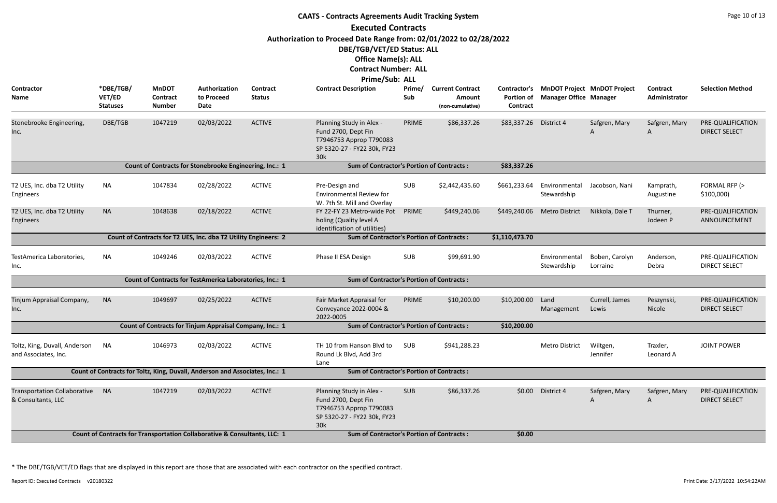|                                                                                                                            | Page 10 of 13<br><b>CAATS - Contracts Agreements Audit Tracking System</b><br><b>Executed Contracts</b> |                                                  |                                                                              |                                  |                                                                                                                                                                                 |               |                                                       |                                               |                               |                                    |                           |                                           |  |  |
|----------------------------------------------------------------------------------------------------------------------------|---------------------------------------------------------------------------------------------------------|--------------------------------------------------|------------------------------------------------------------------------------|----------------------------------|---------------------------------------------------------------------------------------------------------------------------------------------------------------------------------|---------------|-------------------------------------------------------|-----------------------------------------------|-------------------------------|------------------------------------|---------------------------|-------------------------------------------|--|--|
|                                                                                                                            |                                                                                                         |                                                  |                                                                              |                                  | Authorization to Proceed Date Range from: 02/01/2022 to 02/28/2022<br>DBE/TGB/VET/ED Status: ALL<br><b>Office Name(s): ALL</b><br><b>Contract Number: ALL</b><br>Prime/Sub: ALL |               |                                                       |                                               |                               |                                    |                           |                                           |  |  |
| Contractor<br>Name                                                                                                         | *DBE/TGB/<br>VET/ED<br><b>Statuses</b>                                                                  | <b>MnDOT</b><br><b>Contract</b><br><b>Number</b> | Authorization<br>to Proceed<br>Date                                          | <b>Contract</b><br><b>Status</b> | <b>Contract Description</b>                                                                                                                                                     | Prime/<br>Sub | <b>Current Contract</b><br>Amount<br>(non-cumulative) | Contractor's<br><b>Portion of</b><br>Contract | <b>Manager Office Manager</b> | <b>MnDOT Project MnDOT Project</b> | Contract<br>Administrator | <b>Selection Method</b>                   |  |  |
| Stonebrooke Engineering,<br>Inc.                                                                                           | DBE/TGB                                                                                                 | 1047219                                          | 02/03/2022                                                                   | <b>ACTIVE</b>                    | Planning Study in Alex -<br>Fund 2700, Dept Fin<br>T7946753 Approp T790083<br>SP 5320-27 - FY22 30k, FY23<br>30k                                                                | PRIME         | \$86,337.26                                           | \$83,337.26                                   | District 4                    | Safgren, Mary<br>A                 | Safgren, Mary<br>A        | PRE-QUALIFICATION<br><b>DIRECT SELECT</b> |  |  |
| <b>Sum of Contractor's Portion of Contracts:</b><br>Count of Contracts for Stonebrooke Engineering, Inc.: 1<br>\$83,337.26 |                                                                                                         |                                                  |                                                                              |                                  |                                                                                                                                                                                 |               |                                                       |                                               |                               |                                    |                           |                                           |  |  |
| T2 UES, Inc. dba T2 Utility<br>Engineers                                                                                   | <b>NA</b>                                                                                               | 1047834                                          | 02/28/2022                                                                   | <b>ACTIVE</b>                    | Pre-Design and<br>Environmental Review for<br>W. 7th St. Mill and Overlay                                                                                                       | <b>SUB</b>    | \$2,442,435.60                                        | \$661,233.64                                  | Environmental<br>Stewardship  | Jacobson, Nani                     | Kamprath,<br>Augustine    | FORMAL RFP (><br>\$100,000                |  |  |
| T2 UES, Inc. dba T2 Utility<br>Engineers                                                                                   | <b>NA</b>                                                                                               | 1048638                                          | 02/18/2022                                                                   | <b>ACTIVE</b>                    | FY 22-FY 23 Metro-wide Pot<br>holing (Quality level A<br>identification of utilities)                                                                                           | PRIME         | \$449,240.06                                          | \$449,240.06                                  | <b>Metro District</b>         | Nikkola, Dale T                    | Thurner,<br>Jodeen P      | PRE-QUALIFICATION<br>ANNOUNCEMENT         |  |  |
|                                                                                                                            |                                                                                                         |                                                  | Count of Contracts for T2 UES, Inc. dba T2 Utility Engineers: 2              |                                  | <b>Sum of Contractor's Portion of Contracts:</b>                                                                                                                                |               |                                                       | \$1,110,473.70                                |                               |                                    |                           |                                           |  |  |
| TestAmerica Laboratories,<br>Inc.                                                                                          | <b>NA</b>                                                                                               | 1049246                                          | 02/03/2022                                                                   | <b>ACTIVE</b>                    | Phase II ESA Design                                                                                                                                                             | SUB           | \$99,691.90                                           |                                               | Environmental<br>Stewardship  | Boben, Carolyn<br>Lorraine         | Anderson,<br>Debra        | PRE-QUALIFICATION<br><b>DIRECT SELECT</b> |  |  |
|                                                                                                                            |                                                                                                         |                                                  | Count of Contracts for TestAmerica Laboratories, Inc.: 1                     |                                  | <b>Sum of Contractor's Portion of Contracts:</b>                                                                                                                                |               |                                                       |                                               |                               |                                    |                           |                                           |  |  |
| Tinjum Appraisal Company,<br>Inc.                                                                                          | <b>NA</b>                                                                                               | 1049697                                          | 02/25/2022                                                                   | <b>ACTIVE</b>                    | Fair Market Appraisal for<br>Conveyance 2022-0004 &<br>2022-0005                                                                                                                | PRIME         | \$10,200.00                                           | \$10,200.00                                   | Land<br>Management            | Currell, James<br>Lewis            | Peszynski,<br>Nicole      | PRE-QUALIFICATION<br><b>DIRECT SELECT</b> |  |  |
|                                                                                                                            |                                                                                                         |                                                  | Count of Contracts for Tinjum Appraisal Company, Inc.: 1                     |                                  | <b>Sum of Contractor's Portion of Contracts:</b>                                                                                                                                |               |                                                       | \$10,200.00                                   |                               |                                    |                           |                                           |  |  |
| Toltz, King, Duvall, Anderson<br>and Associates, Inc.                                                                      | <b>NA</b>                                                                                               | 1046973                                          | 02/03/2022                                                                   | <b>ACTIVE</b>                    | TH 10 from Hanson Blvd to<br>Round Lk Blvd, Add 3rd<br>Lane                                                                                                                     | SUB           | \$941,288.23                                          |                                               | Metro District                | Wiltgen,<br>Jennifer               | Traxler,<br>Leonard A     | <b>JOINT POWER</b>                        |  |  |
|                                                                                                                            |                                                                                                         |                                                  | Count of Contracts for Toltz, King, Duvall, Anderson and Associates, Inc.: 1 |                                  | <b>Sum of Contractor's Portion of Contracts:</b>                                                                                                                                |               |                                                       |                                               |                               |                                    |                           |                                           |  |  |
| <b>Transportation Collaborative</b><br>& Consultants, LLC                                                                  | <b>NA</b>                                                                                               | 1047219                                          | 02/03/2022                                                                   | <b>ACTIVE</b>                    | Planning Study in Alex -<br>Fund 2700, Dept Fin<br>T7946753 Approp T790083<br>SP 5320-27 - FY22 30k, FY23<br>30k                                                                | <b>SUB</b>    | \$86,337.26                                           | \$0.00                                        | District 4                    | Safgren, Mary                      | Safgren, Mary<br>A        | PRE-QUALIFICATION<br><b>DIRECT SELECT</b> |  |  |
|                                                                                                                            |                                                                                                         |                                                  | Count of Contracts for Transportation Collaborative & Consultants, LLC: 1    |                                  | <b>Sum of Contractor's Portion of Contracts:</b>                                                                                                                                |               |                                                       | \$0.00                                        |                               |                                    |                           |                                           |  |  |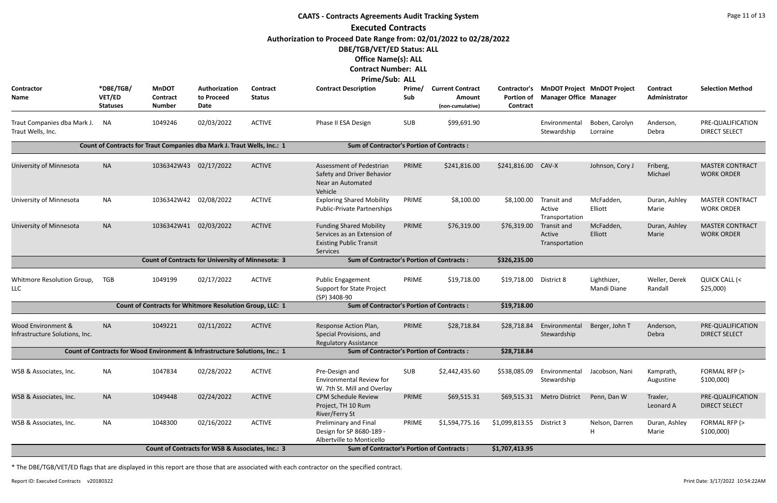|                                                      |                                        |                                                                             |                                                  |                                  | <b>CAATS - Contracts Agreements Audit Tracking System</b>                                                                      |               |                                                       |                                               |                                         |                                    |                           | Page 11 of 13                               |
|------------------------------------------------------|----------------------------------------|-----------------------------------------------------------------------------|--------------------------------------------------|----------------------------------|--------------------------------------------------------------------------------------------------------------------------------|---------------|-------------------------------------------------------|-----------------------------------------------|-----------------------------------------|------------------------------------|---------------------------|---------------------------------------------|
|                                                      |                                        |                                                                             |                                                  |                                  | <b>Executed Contracts</b>                                                                                                      |               |                                                       |                                               |                                         |                                    |                           |                                             |
|                                                      |                                        |                                                                             |                                                  |                                  | Authorization to Proceed Date Range from: 02/01/2022 to 02/28/2022<br>DBE/TGB/VET/ED Status: ALL<br><b>Office Name(s): ALL</b> |               |                                                       |                                               |                                         |                                    |                           |                                             |
|                                                      |                                        |                                                                             |                                                  |                                  | <b>Contract Number: ALL</b>                                                                                                    |               |                                                       |                                               |                                         |                                    |                           |                                             |
|                                                      |                                        |                                                                             |                                                  |                                  | Prime/Sub: ALL                                                                                                                 |               |                                                       |                                               |                                         |                                    |                           |                                             |
| <b>Contractor</b><br><b>Name</b>                     | *DBE/TGB/<br>VET/ED<br><b>Statuses</b> | <b>MnDOT</b><br>Contract<br><b>Number</b>                                   | Authorization<br>to Proceed<br>Date              | <b>Contract</b><br><b>Status</b> | <b>Contract Description</b>                                                                                                    | Prime/<br>Sub | <b>Current Contract</b><br>Amount<br>(non-cumulative) | Contractor's<br><b>Portion of</b><br>Contract | <b>Manager Office Manager</b>           | <b>MnDOT Project MnDOT Project</b> | Contract<br>Administrator | <b>Selection Method</b>                     |
| Traut Companies dba Mark J.<br>Traut Wells, Inc.     | NA                                     | 1049246                                                                     | 02/03/2022                                       | <b>ACTIVE</b>                    | Phase II ESA Design                                                                                                            | SUB           | \$99,691.90                                           |                                               | Environmental<br>Stewardship            | Boben, Carolyn<br>Lorraine         | Anderson,<br>Debra        | PRE-QUALIFICATION<br><b>DIRECT SELECT</b>   |
|                                                      |                                        | Count of Contracts for Traut Companies dba Mark J. Traut Wells, Inc.: 1     |                                                  |                                  | <b>Sum of Contractor's Portion of Contracts:</b>                                                                               |               |                                                       |                                               |                                         |                                    |                           |                                             |
| University of Minnesota                              | <b>NA</b>                              | 1036342W43                                                                  | 02/17/2022                                       | <b>ACTIVE</b>                    | Assessment of Pedestrian<br>Safety and Driver Behavior<br>Near an Automated<br>Vehicle                                         | PRIME         | \$241,816.00                                          | \$241,816.00                                  | CAV-X                                   | Johnson, Cory J                    | Friberg,<br>Michael       | <b>MASTER CONTRACT</b><br><b>WORK ORDER</b> |
| University of Minnesota                              | <b>NA</b>                              | 1036342W42 02/08/2022                                                       |                                                  | <b>ACTIVE</b>                    | <b>Exploring Shared Mobility</b><br>Public-Private Partnerships                                                                | PRIME         | \$8,100.00                                            | \$8,100.00                                    | Transit and<br>Active<br>Transportation | McFadden,<br>Elliott               | Duran, Ashley<br>Marie    | <b>MASTER CONTRACT</b><br><b>WORK ORDER</b> |
| University of Minnesota                              | <b>NA</b>                              | 1036342W41                                                                  | 02/03/2022                                       | <b>ACTIVE</b>                    | <b>Funding Shared Mobility</b><br>Services as an Extension of<br><b>Existing Public Transit</b><br>Services                    | PRIME         | \$76,319.00                                           | \$76,319.00                                   | Transit and<br>Active<br>Transportation | McFadden,<br>Elliott               | Duran, Ashley<br>Marie    | <b>MASTER CONTRACT</b><br><b>WORK ORDER</b> |
|                                                      |                                        | <b>Count of Contracts for University of Minnesota: 3</b>                    |                                                  |                                  | <b>Sum of Contractor's Portion of Contracts:</b>                                                                               |               |                                                       | \$326,235.00                                  |                                         |                                    |                           |                                             |
| Whitmore Resolution Group,<br><b>LLC</b>             | <b>TGB</b>                             | 1049199                                                                     | 02/17/2022                                       | <b>ACTIVE</b>                    | <b>Public Engagement</b><br><b>Support for State Project</b><br>(SP) 3408-90                                                   | PRIME         | \$19,718.00                                           | \$19,718.00                                   | District 8                              | Lighthizer,<br>Mandi Diane         | Weller, Derek<br>Randall  | QUICK CALL (<<br>\$25,000                   |
|                                                      |                                        | Count of Contracts for Whitmore Resolution Group, LLC: 1                    |                                                  |                                  | <b>Sum of Contractor's Portion of Contracts:</b>                                                                               |               |                                                       | \$19,718.00                                   |                                         |                                    |                           |                                             |
| Wood Environment &<br>Infrastructure Solutions, Inc. | <b>NA</b>                              | 1049221                                                                     | 02/11/2022                                       | <b>ACTIVE</b>                    | Response Action Plan,<br>Special Provisions, and<br><b>Regulatory Assistance</b>                                               | PRIME         | \$28,718.84                                           | \$28,718.84                                   | Environmental<br>Stewardship            | Berger, John T                     | Anderson,<br>Debra        | PRE-QUALIFICATION<br><b>DIRECT SELECT</b>   |
|                                                      |                                        | Count of Contracts for Wood Environment & Infrastructure Solutions, Inc.: 1 |                                                  |                                  | <b>Sum of Contractor's Portion of Contracts:</b>                                                                               |               |                                                       | \$28,718.84                                   |                                         |                                    |                           |                                             |
| WSB & Associates, Inc.                               | <b>NA</b>                              | 1047834                                                                     | 02/28/2022                                       | <b>ACTIVE</b>                    | Pre-Design and<br><b>Environmental Review for</b><br>W. 7th St. Mill and Overlay                                               | <b>SUB</b>    | \$2,442,435.60                                        | \$538,085.09                                  | Environmental<br>Stewardship            | Jacobson, Nani                     | Kamprath,<br>Augustine    | FORMAL RFP (><br>\$100,000                  |
| WSB & Associates, Inc.                               | <b>NA</b>                              | 1049448                                                                     | 02/24/2022                                       | <b>ACTIVE</b>                    | <b>CPM Schedule Review</b><br>Project, TH 10 Rum<br>River/Ferry St                                                             | PRIME         | \$69,515.31                                           | \$69,515.31                                   | <b>Metro District</b>                   | Penn, Dan W                        | Traxler,<br>Leonard A     | PRE-QUALIFICATION<br><b>DIRECT SELECT</b>   |
| WSB & Associates, Inc.                               | <b>NA</b>                              | 1048300                                                                     | 02/16/2022                                       | <b>ACTIVE</b>                    | <b>Preliminary and Final</b><br>Design for SP 8680-189 -<br>Albertville to Monticello                                          | PRIME         | \$1,594,775.16                                        | \$1,099,813.55 District 3                     |                                         | Nelson, Darren                     | Duran, Ashley<br>Marie    | FORMAL RFP (><br>\$100,000                  |
|                                                      |                                        |                                                                             | Count of Contracts for WSB & Associates, Inc.: 3 |                                  | <b>Sum of Contractor's Portion of Contracts:</b>                                                                               |               |                                                       | \$1,707,413.95                                |                                         |                                    |                           |                                             |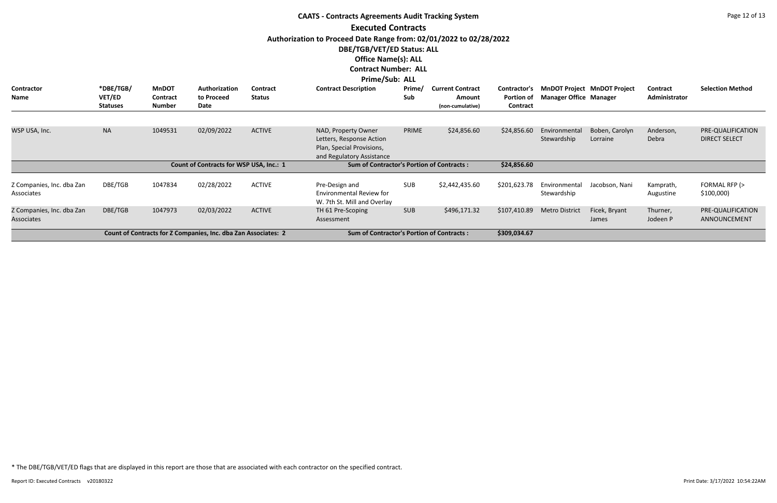|                                         | <b>CAATS - Contracts Agreements Audit Tracking System</b> |                           |                                                                |                 |                                                                                                                                                                                                                       |            |                            |                               |                               |                                    |                        |                                           |  |  |
|-----------------------------------------|-----------------------------------------------------------|---------------------------|----------------------------------------------------------------|-----------------|-----------------------------------------------------------------------------------------------------------------------------------------------------------------------------------------------------------------------|------------|----------------------------|-------------------------------|-------------------------------|------------------------------------|------------------------|-------------------------------------------|--|--|
|                                         |                                                           |                           |                                                                |                 | <b>Executed Contracts</b>                                                                                                                                                                                             |            |                            |                               |                               |                                    |                        |                                           |  |  |
| <b>Contractor</b>                       | *DBE/TGB/                                                 | <b>MnDOT</b>              | Authorization                                                  | <b>Contract</b> | Authorization to Proceed Date Range from: 02/01/2022 to 02/28/2022<br>DBE/TGB/VET/ED Status: ALL<br><b>Office Name(s): ALL</b><br><b>Contract Number: ALL</b><br><b>Prime/Sub: ALL</b><br><b>Contract Description</b> | Prime/     | <b>Current Contract</b>    | Contractor's                  |                               | <b>MnDOT Project MnDOT Project</b> | Contract               | <b>Selection Method</b>                   |  |  |
| Name                                    | VET/ED<br><b>Statuses</b>                                 | Contract<br><b>Number</b> | to Proceed<br><b>Date</b>                                      | <b>Status</b>   |                                                                                                                                                                                                                       | Sub        | Amount<br>(non-cumulative) | <b>Portion of</b><br>Contract | <b>Manager Office Manager</b> |                                    | Administrator          |                                           |  |  |
|                                         |                                                           |                           |                                                                |                 |                                                                                                                                                                                                                       |            |                            |                               |                               |                                    |                        |                                           |  |  |
| WSP USA, Inc.                           | <b>NA</b>                                                 | 1049531                   | 02/09/2022                                                     | <b>ACTIVE</b>   | NAD, Property Owner<br>Letters, Response Action<br>Plan, Special Provisions,<br>and Regulatory Assistance                                                                                                             | PRIME      | \$24,856.60                | \$24,856.60                   | Environmental<br>Stewardship  | Boben, Carolyn<br>Lorraine         | Anderson,<br>Debra     | PRE-QUALIFICATION<br><b>DIRECT SELECT</b> |  |  |
|                                         |                                                           |                           | Count of Contracts for WSP USA, Inc.: 1                        |                 | <b>Sum of Contractor's Portion of Contracts:</b>                                                                                                                                                                      |            |                            | \$24,856.60                   |                               |                                    |                        |                                           |  |  |
| Z Companies, Inc. dba Zan<br>Associates | DBE/TGB                                                   | 1047834                   | 02/28/2022                                                     | <b>ACTIVE</b>   | Pre-Design and<br>Environmental Review for<br>W. 7th St. Mill and Overlay                                                                                                                                             | <b>SUB</b> | \$2,442,435.60             | \$201,623.78                  | Environmental<br>Stewardship  | Jacobson, Nani                     | Kamprath,<br>Augustine | FORMAL RFP (><br>\$100,000                |  |  |
| Z Companies, Inc. dba Zan<br>Associates | DBE/TGB                                                   | 1047973                   | 02/03/2022                                                     | <b>ACTIVE</b>   | TH 61 Pre-Scoping<br>Assessment                                                                                                                                                                                       | <b>SUB</b> | \$496,171.32               | \$107,410.89                  | <b>Metro District</b>         | Ficek, Bryant<br>James             | Thurner,<br>Jodeen P   | PRE-QUALIFICATION<br>ANNOUNCEMENT         |  |  |
|                                         |                                                           |                           | Count of Contracts for Z Companies, Inc. dba Zan Associates: 2 |                 | <b>Sum of Contractor's Portion of Contracts:</b>                                                                                                                                                                      |            |                            | \$309,034.67                  |                               |                                    |                        |                                           |  |  |